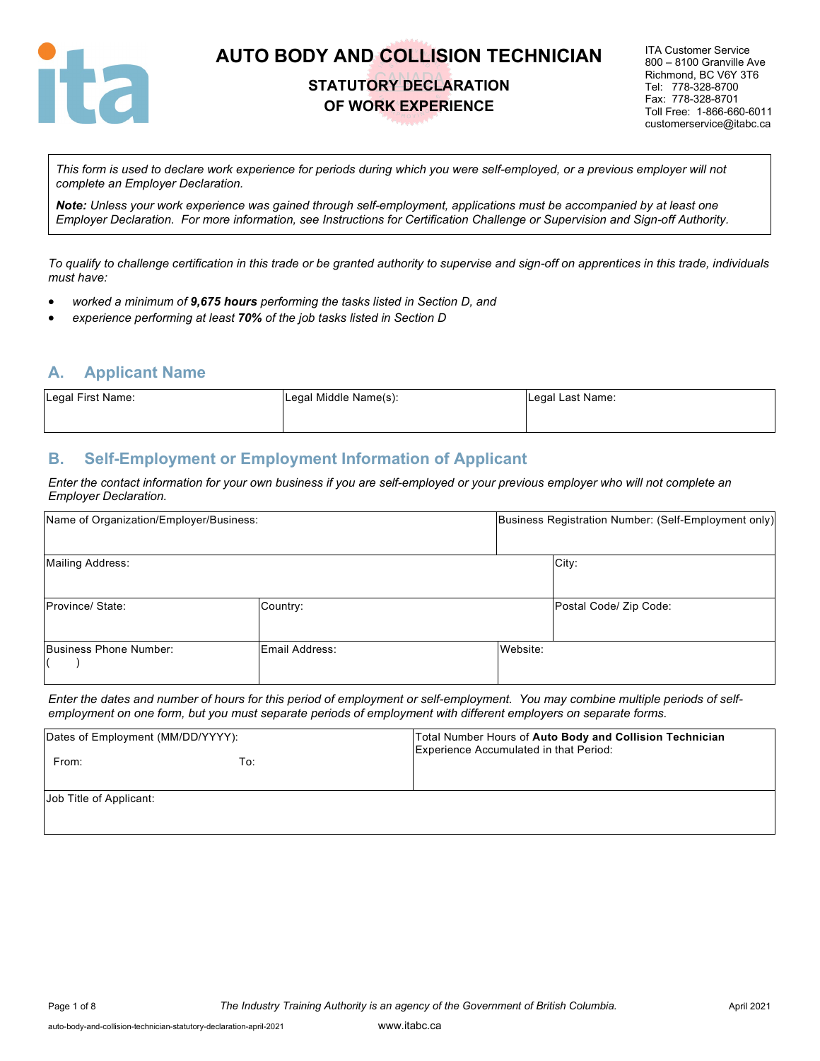

### **STATUTORY DECLARATION OF WORK EXPERIENCE**

ITA Customer Service 800 – 8100 Granville Ave Richmond, BC V6Y 3T6 Tel: 778-328-8700 Fax: 778-328-8701 Toll Free: 1-866-660-6011 customerservice@itabc.ca

*This form is used to declare work experience for periods during which you were self-employed, or a previous employer will not complete an Employer Declaration.* 

*Note: Unless your work experience was gained through self-employment, applications must be accompanied by at least one Employer Declaration. For more information, see Instructions for Certification Challenge or Supervision and Sign-off Authority.*

*To qualify to challenge certification in this trade or be granted authority to supervise and sign-off on apprentices in this trade, individuals must have:*

- *worked a minimum of 9,675 hours performing the tasks listed in Section D, and*
- *experience performing at least 70% of the job tasks listed in Section D*

### **A. Applicant Name**

| Legal First Name: | Legal Middle Name(s): | Legal Last Name: |
|-------------------|-----------------------|------------------|
|                   |                       |                  |

### **B. Self-Employment or Employment Information of Applicant**

*Enter the contact information for your own business if you are self-employed or your previous employer who will not complete an Employer Declaration.*

| Name of Organization/Employer/Business: |                |          | Business Registration Number: (Self-Employment only) |
|-----------------------------------------|----------------|----------|------------------------------------------------------|
| Mailing Address:                        |                |          | City:                                                |
| Province/ State:                        | Country:       |          | Postal Code/ Zip Code:                               |
| Business Phone Number:                  | Email Address: | Website: |                                                      |

*Enter the dates and number of hours for this period of employment or self-employment. You may combine multiple periods of selfemployment on one form, but you must separate periods of employment with different employers on separate forms.*

| Dates of Employment (MM/DD/YYYY): |     | Total Number Hours of Auto Body and Collision Technician<br>Experience Accumulated in that Period: |
|-----------------------------------|-----|----------------------------------------------------------------------------------------------------|
| From:                             | To: |                                                                                                    |
| Job Title of Applicant:           |     |                                                                                                    |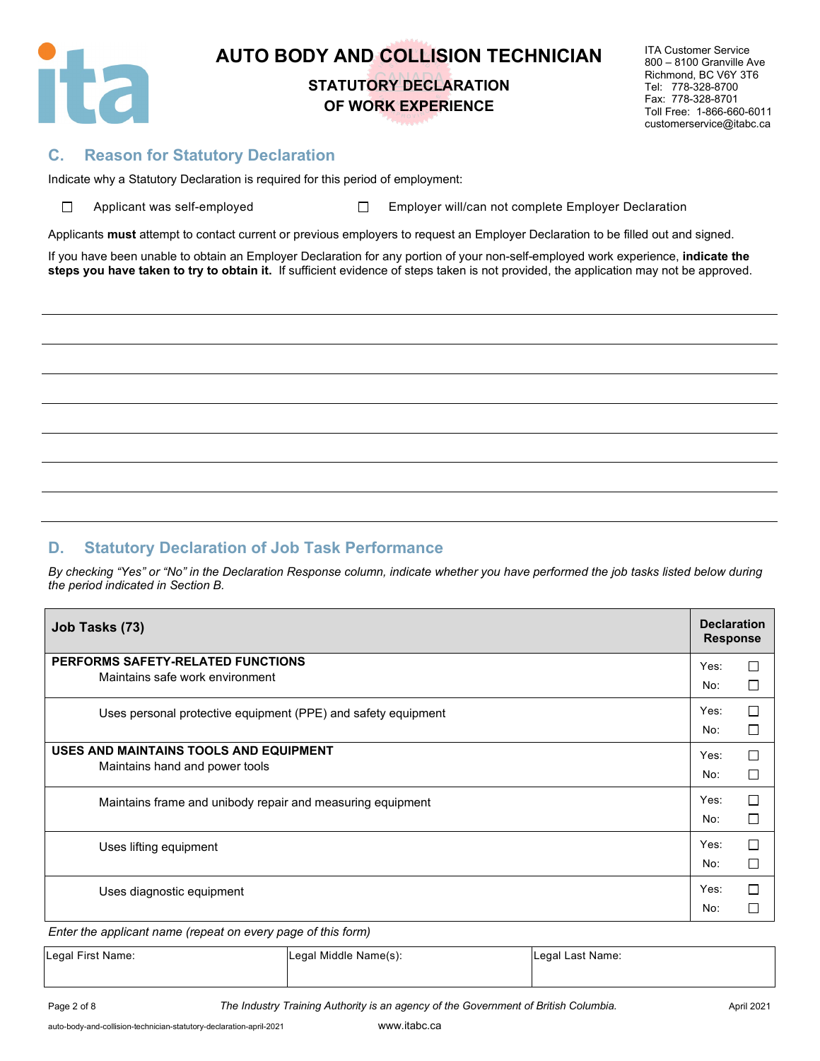

# **STATUTORY DECLARATION OF WORK EXPERIENCE**

ITA Customer Service 800 – 8100 Granville Ave Richmond, BC V6Y 3T6 Tel: 778-328-8700 Fax: 778-328-8701 Toll Free: 1-866-660-6011 customerservice@itabc.ca

### **C. Reason for Statutory Declaration**

Indicate why a Statutory Declaration is required for this period of employment:

| $\Box$ | Applicant was self-emp |  |
|--------|------------------------|--|
|        |                        |  |

ployed □ Employer will/can not complete Employer Declaration

Applicants **must** attempt to contact current or previous employers to request an Employer Declaration to be filled out and signed.

If you have been unable to obtain an Employer Declaration for any portion of your non-self-employed work experience, **indicate the steps you have taken to try to obtain it.** If sufficient evidence of steps taken is not provided, the application may not be approved.

### **D. Statutory Declaration of Job Task Performance**

*By checking "Yes" or "No" in the Declaration Response column, indicate whether you have performed the job tasks listed below during the period indicated in Section B.*

| Job Tasks (73)                                                       | <b>Declaration</b><br><b>Response</b> |        |
|----------------------------------------------------------------------|---------------------------------------|--------|
| PERFORMS SAFETY-RELATED FUNCTIONS<br>Maintains safe work environment | Yes:                                  | П      |
|                                                                      | No:                                   | Г      |
| Uses personal protective equipment (PPE) and safety equipment        | Yes:                                  | $\Box$ |
|                                                                      | No:                                   | П      |
| USES AND MAINTAINS TOOLS AND EQUIPMENT                               | Yes:                                  | П      |
| Maintains hand and power tools                                       | No:                                   | Е      |
| Maintains frame and unibody repair and measuring equipment           | Yes:                                  | П      |
|                                                                      | No:                                   | П      |
| Uses lifting equipment                                               | Yes:                                  | П      |
|                                                                      | No:                                   | Г      |
| Uses diagnostic equipment                                            | Yes:                                  | П      |
|                                                                      | No:                                   |        |

*Enter the applicant name (repeat on every page of this form)*

| Legal First Name: | Legal Middle Name(s): | Legal Last Name: |
|-------------------|-----------------------|------------------|
|                   |                       |                  |

Page 2 of 8 **The Industry Training Authority is an agency of the Government of British Columbia.** April 2021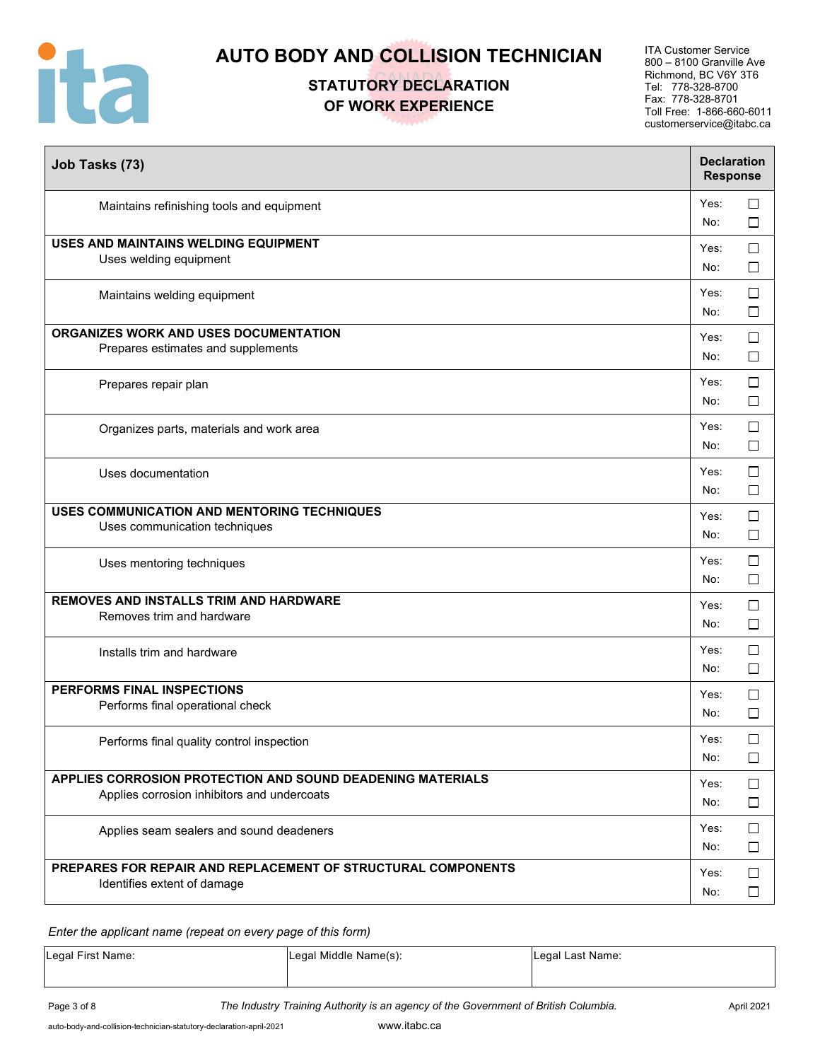

# **STATUTORY DECLARATION OF WORK EXPERIENCE**

ITA Customer Service 800 – 8100 Granville Ave Richmond, BC V6Y 3T6 Tel: 778-328-8700 Fax: 778-328-8701 Toll Free: 1-866-660-6011 customerservice@itabc.ca

| Job Tasks (73)                                                                                            | <b>Declaration</b><br><b>Response</b> |                  |
|-----------------------------------------------------------------------------------------------------------|---------------------------------------|------------------|
| Maintains refinishing tools and equipment                                                                 | Yes:<br>No:                           | $\Box$<br>$\Box$ |
| USES AND MAINTAINS WELDING EQUIPMENT<br>Uses welding equipment                                            | Yes:<br>No:                           | $\Box$<br>□      |
| Maintains welding equipment                                                                               | Yes:<br>No:                           | $\Box$<br>□      |
| ORGANIZES WORK AND USES DOCUMENTATION<br>Prepares estimates and supplements                               | Yes:<br>No:                           | $\Box$<br>□      |
| Prepares repair plan                                                                                      | Yes:<br>No:                           | □<br>$\Box$      |
| Organizes parts, materials and work area                                                                  | Yes:<br>No:                           | $\Box$<br>$\Box$ |
| Uses documentation                                                                                        | Yes:<br>No:                           | $\Box$<br>$\Box$ |
| USES COMMUNICATION AND MENTORING TECHNIQUES<br>Uses communication techniques                              | Yes:<br>No:                           | $\Box$<br>□      |
| Uses mentoring techniques                                                                                 | Yes:<br>No:                           | $\Box$<br>□      |
| REMOVES AND INSTALLS TRIM AND HARDWARE<br>Removes trim and hardware                                       | Yes:<br>No:                           | $\Box$<br>$\Box$ |
| Installs trim and hardware                                                                                | Yes:<br>No:                           | $\Box$<br>$\Box$ |
| PERFORMS FINAL INSPECTIONS<br>Performs final operational check                                            | Yes:<br>No:                           | $\Box$<br>$\Box$ |
| Performs final quality control inspection                                                                 | Yes:<br>No:                           | □<br>$\Box$      |
| APPLIES CORROSION PROTECTION AND SOUND DEADENING MATERIALS<br>Applies corrosion inhibitors and undercoats | Yes:<br>No:                           | □<br>□           |
| Applies seam sealers and sound deadeners                                                                  | Yes:<br>No:                           | $\Box$<br>$\Box$ |
| PREPARES FOR REPAIR AND REPLACEMENT OF STRUCTURAL COMPONENTS<br>Identifies extent of damage               | Yes:<br>No:                           | $\Box$<br>$\Box$ |

*Enter the applicant name (repeat on every page of this form)*

| Legal First Name: | Legal Middle Name(s): | Legal Last Name: |
|-------------------|-----------------------|------------------|
|                   |                       |                  |

Page 3 of 8 **The Industry Training Authority is an agency of the Government of British Columbia.** April 2021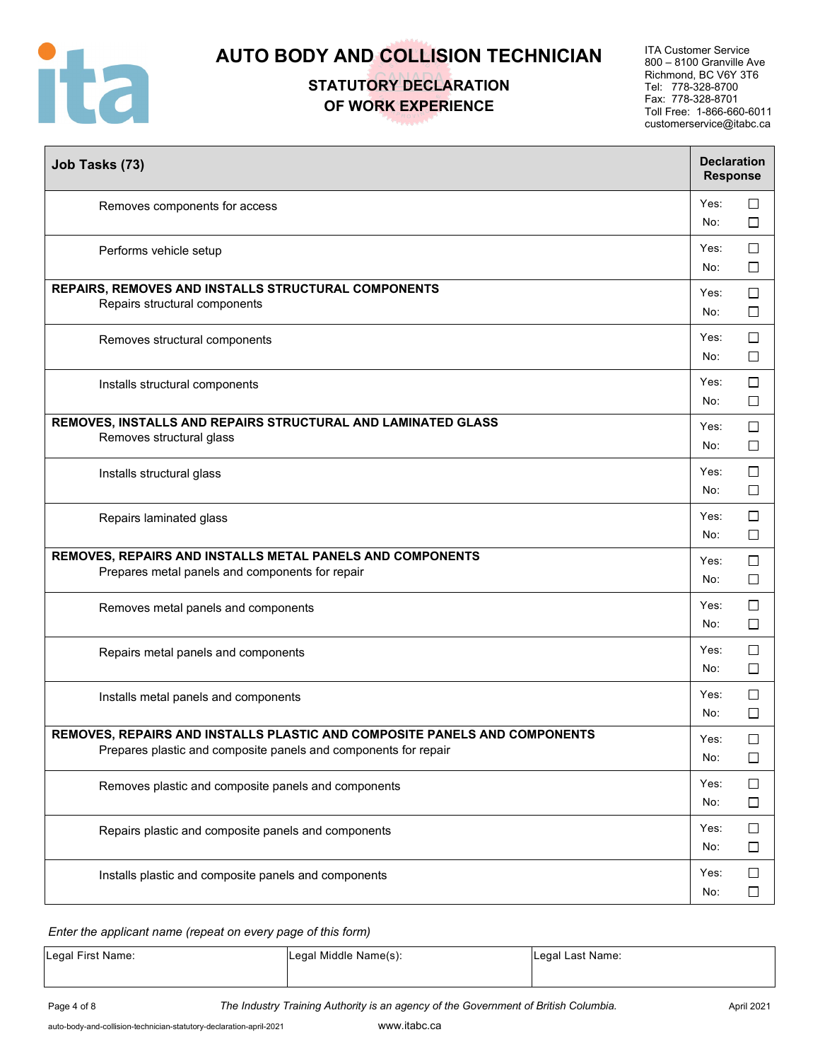

# **STATUTORY DECLARATION OF WORK EXPERIENCE**

ITA Customer Service 800 – 8100 Granville Ave Richmond, BC V6Y 3T6 Tel: 778-328-8700 Fax: 778-328-8701 Toll Free: 1-866-660-6011 customerservice@itabc.ca

| Job Tasks (73)                                                                                                                               | <b>Declaration</b><br><b>Response</b> |                  |
|----------------------------------------------------------------------------------------------------------------------------------------------|---------------------------------------|------------------|
| Removes components for access                                                                                                                | Yes:<br>No:                           | $\Box$<br>$\Box$ |
| Performs vehicle setup                                                                                                                       | Yes:<br>No:                           | $\Box$<br>$\Box$ |
| REPAIRS, REMOVES AND INSTALLS STRUCTURAL COMPONENTS<br>Repairs structural components                                                         | Yes:<br>No:                           | □<br>$\Box$      |
| Removes structural components                                                                                                                | Yes:<br>No:                           | □<br>$\Box$      |
| Installs structural components                                                                                                               | Yes:<br>No:                           | $\Box$<br>$\Box$ |
| REMOVES, INSTALLS AND REPAIRS STRUCTURAL AND LAMINATED GLASS<br>Removes structural glass                                                     | Yes:<br>No:                           | $\Box$<br>□      |
| Installs structural glass                                                                                                                    | Yes:<br>No:                           | $\Box$<br>$\Box$ |
| Repairs laminated glass                                                                                                                      | Yes:<br>No:                           | $\Box$<br>□      |
| REMOVES, REPAIRS AND INSTALLS METAL PANELS AND COMPONENTS<br>Prepares metal panels and components for repair                                 | Yes:<br>No:                           | $\Box$<br>□      |
| Removes metal panels and components                                                                                                          | Yes:<br>No:                           | $\Box$<br>□      |
| Repairs metal panels and components                                                                                                          | Yes:<br>No:                           | $\Box$<br>$\Box$ |
| Installs metal panels and components                                                                                                         | Yes:<br>No:                           | $\Box$<br>$\Box$ |
| REMOVES, REPAIRS AND INSTALLS PLASTIC AND COMPOSITE PANELS AND COMPONENTS<br>Prepares plastic and composite panels and components for repair | Yes:<br>No:                           | □<br>$\Box$      |
| Removes plastic and composite panels and components                                                                                          | Yes:<br>No:                           | $\Box$<br>$\Box$ |
| Repairs plastic and composite panels and components                                                                                          | Yes:<br>No:                           | $\Box$<br>$\Box$ |
| Installs plastic and composite panels and components                                                                                         | Yes:<br>No:                           | $\Box$<br>$\Box$ |

#### *Enter the applicant name (repeat on every page of this form)*

| Legal First Name: | Legal Middle Name(s): | Legal Last Name: |
|-------------------|-----------------------|------------------|
|                   |                       |                  |

Page 4 of 8 **The Industry Training Authority is an agency of the Government of British Columbia.** April 2021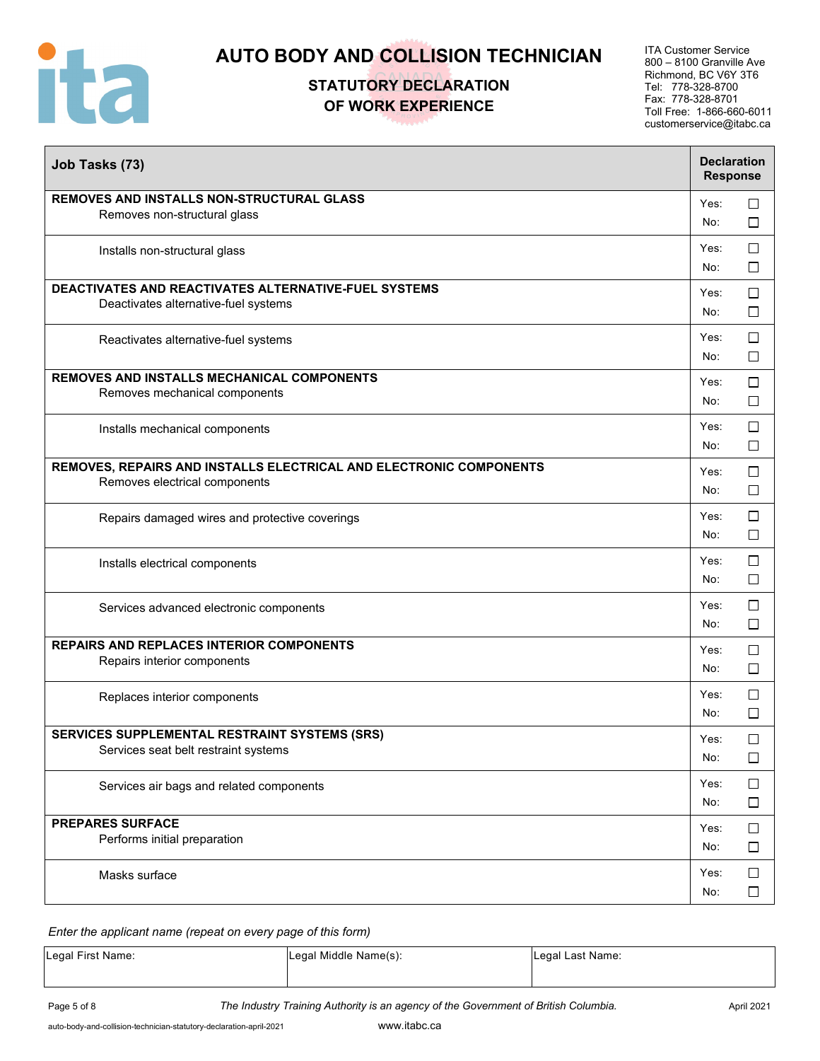

## **STATUTORY DECLARATION OF WORK EXPERIENCE**

ITA Customer Service 800 – 8100 Granville Ave Richmond, BC V6Y 3T6 Tel: 778-328-8700 Fax: 778-328-8701 Toll Free: 1-866-660-6011 customerservice@itabc.ca

| Job Tasks (73)                                                                                      | <b>Declaration</b><br><b>Response</b> |                  |
|-----------------------------------------------------------------------------------------------------|---------------------------------------|------------------|
| REMOVES AND INSTALLS NON-STRUCTURAL GLASS<br>Removes non-structural glass                           | Yes:<br>No:                           | $\Box$<br>$\Box$ |
| Installs non-structural glass                                                                       | Yes:<br>No:                           | $\Box$<br>$\Box$ |
| DEACTIVATES AND REACTIVATES ALTERNATIVE-FUEL SYSTEMS<br>Deactivates alternative-fuel systems        | Yes:<br>No:                           | $\Box$<br>$\Box$ |
| Reactivates alternative-fuel systems                                                                | Yes:<br>No:                           | $\Box$<br>□      |
| REMOVES AND INSTALLS MECHANICAL COMPONENTS<br>Removes mechanical components                         | Yes:<br>No:                           | $\Box$<br>□      |
| Installs mechanical components                                                                      | Yes:<br>No:                           | $\Box$<br>□      |
| REMOVES, REPAIRS AND INSTALLS ELECTRICAL AND ELECTRONIC COMPONENTS<br>Removes electrical components | Yes:<br>No:                           | $\Box$<br>□      |
| Repairs damaged wires and protective coverings                                                      | Yes:<br>No:                           | $\Box$<br>$\Box$ |
| Installs electrical components                                                                      | Yes:<br>No:                           | $\Box$<br>□      |
| Services advanced electronic components                                                             | Yes:<br>No:                           | $\Box$<br>□      |
| <b>REPAIRS AND REPLACES INTERIOR COMPONENTS</b><br>Repairs interior components                      | Yes:<br>No:                           | $\Box$<br>$\Box$ |
| Replaces interior components                                                                        | Yes:<br>No:                           | □<br>$\Box$      |
| SERVICES SUPPLEMENTAL RESTRAINT SYSTEMS (SRS)<br>Services seat belt restraint systems               | Yes:<br>No:                           | $\Box$<br>$\Box$ |
| Services air bags and related components                                                            | Yes:<br>No:                           | $\Box$<br>$\Box$ |
| <b>PREPARES SURFACE</b><br>Performs initial preparation                                             | Yes:<br>No:                           | $\Box$<br>$\Box$ |
| Masks surface                                                                                       | Yes:<br>No:                           | $\Box$<br>$\Box$ |

#### *Enter the applicant name (repeat on every page of this form)*

| Legal First Name: | Legal Middle Name(s): | Legal Last Name: |
|-------------------|-----------------------|------------------|
|                   |                       |                  |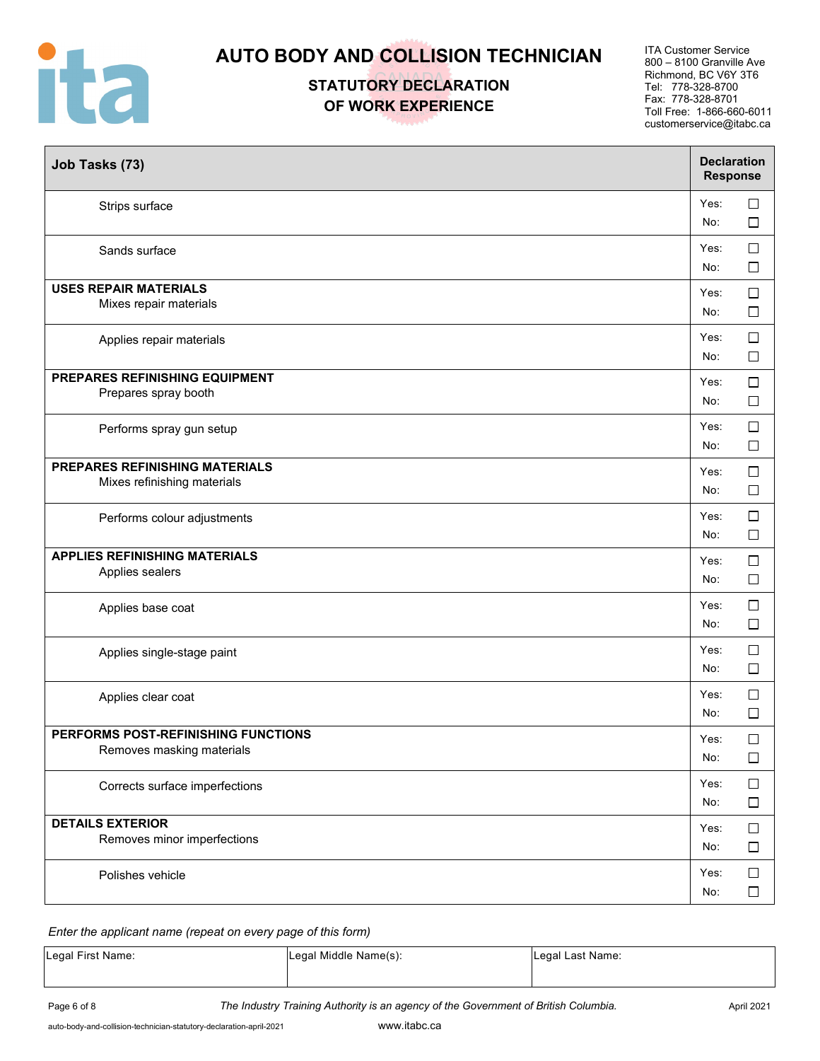

**STATUTORY DECLARATION OF WORK EXPERIENCE**

ITA Customer Service 800 – 8100 Granville Ave Richmond, BC V6Y 3T6 Tel: 778-328-8700 Fax: 778-328-8701 Toll Free: 1-866-660-6011 customerservice@itabc.ca

| Job Tasks (73)                                                       | <b>Declaration</b><br><b>Response</b> |                  |
|----------------------------------------------------------------------|---------------------------------------|------------------|
| Strips surface                                                       | Yes:<br>No:                           | $\Box$<br>$\Box$ |
| Sands surface                                                        | Yes:<br>No:                           | $\Box$<br>$\Box$ |
| <b>USES REPAIR MATERIALS</b><br>Mixes repair materials               | Yes:<br>No:                           | $\Box$<br>$\Box$ |
| Applies repair materials                                             | Yes:<br>No:                           | $\Box$<br>$\Box$ |
| PREPARES REFINISHING EQUIPMENT<br>Prepares spray booth               | Yes:<br>No:                           | $\Box$<br>$\Box$ |
| Performs spray gun setup                                             | Yes:<br>No:                           | $\Box$<br>$\Box$ |
| <b>PREPARES REFINISHING MATERIALS</b><br>Mixes refinishing materials | Yes:<br>No:                           | $\Box$<br>□      |
| Performs colour adjustments                                          | Yes:<br>No:                           | $\Box$<br>$\Box$ |
| <b>APPLIES REFINISHING MATERIALS</b><br>Applies sealers              | Yes:<br>No:                           | $\Box$<br>$\Box$ |
| Applies base coat                                                    | Yes:<br>No:                           | $\Box$<br>□      |
| Applies single-stage paint                                           | Yes:<br>No:                           | $\Box$<br>$\Box$ |
| Applies clear coat                                                   | Yes:<br>No:                           | $\Box$<br>$\Box$ |
| PERFORMS POST-REFINISHING FUNCTIONS<br>Removes masking materials     | Yes:<br>No:                           | $\Box$<br>$\Box$ |
| Corrects surface imperfections                                       | Yes:<br>No:                           | $\Box$<br>$\Box$ |
| <b>DETAILS EXTERIOR</b><br>Removes minor imperfections               | Yes:<br>No:                           | $\Box$<br>$\Box$ |
| Polishes vehicle                                                     | Yes:<br>No:                           | $\Box$<br>$\Box$ |

#### *Enter the applicant name (repeat on every page of this form)*

| Legal First Name: | Legal Middle Name(s): | Legal Last Name: |
|-------------------|-----------------------|------------------|
|                   |                       |                  |

Page 6 of 8 **The Industry Training Authority is an agency of the Government of British Columbia.** April 2021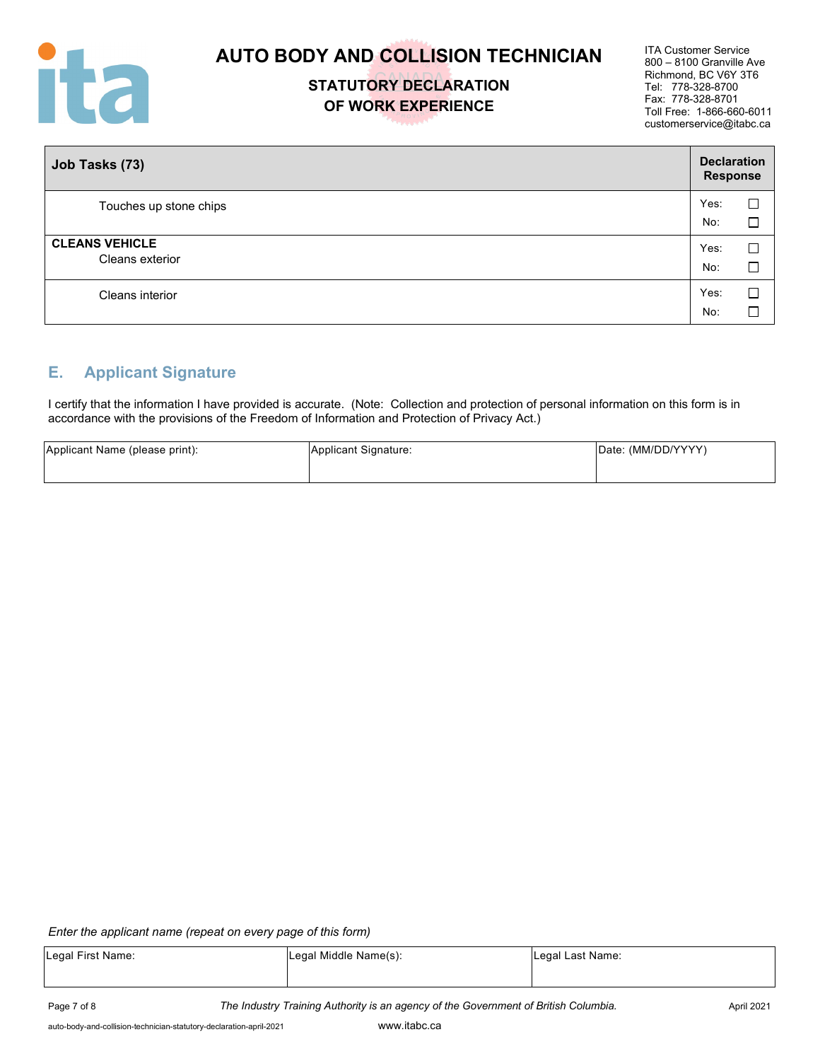

### **STATUTORY DECLARATION OF WORK EXPERIENCE**

ITA Customer Service 800 – 8100 Granville Ave Richmond, BC V6Y 3T6 Tel: 778-328-8700 Fax: 778-328-8701 Toll Free: 1-866-660-6011 customerservice@itabc.ca

| Job Tasks (73)                           | <b>Declaration</b><br><b>Response</b> |             |
|------------------------------------------|---------------------------------------|-------------|
| Touches up stone chips                   | Yes:<br>No:                           | С<br>Г      |
| <b>CLEANS VEHICLE</b><br>Cleans exterior | Yes:<br>No:                           | Е<br>$\Box$ |
| Cleans interior                          | Yes:<br>No:                           | L           |

### **E. Applicant Signature**

I certify that the information I have provided is accurate. (Note: Collection and protection of personal information on this form is in accordance with the provisions of the Freedom of Information and Protection of Privacy Act.)

| Applicant Name (please print): | Applicant Signature: | Date: (MM/DD/YYYY) |
|--------------------------------|----------------------|--------------------|
|                                |                      |                    |

#### *Enter the applicant name (repeat on every page of this form)*

| Legal First Name: | Legal Middle Name(s): | Legal Last Name: |
|-------------------|-----------------------|------------------|
|                   |                       |                  |
|                   |                       |                  |

Page 7 of 8 **The Industry Training Authority is an agency of the Government of British Columbia.** April 2021